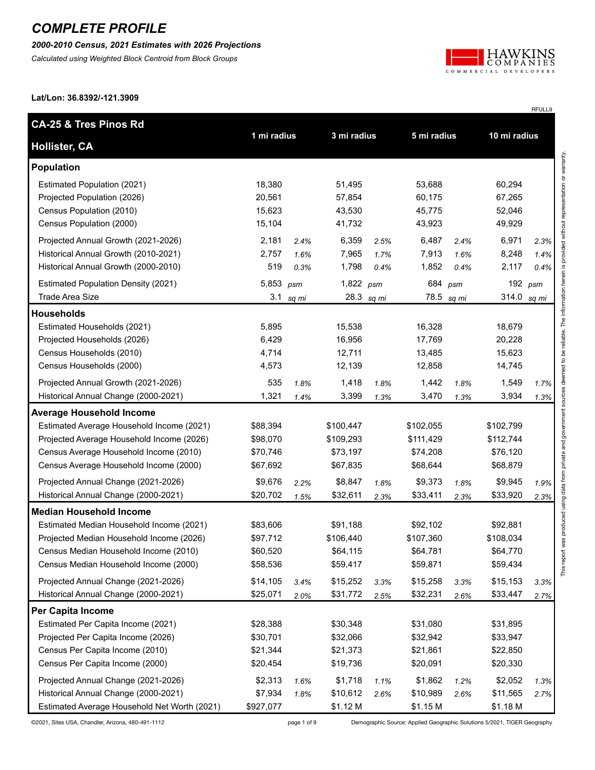*2000-2010 Census, 2021 Estimates with 2026 Projections*

*Calculated using Weighted Block Centroid from Block Groups*



RFULL9

**Lat/Lon: 36.8392/-121.3909**

| <b>CA-25 &amp; Tres Pinos Rd</b>             |             |       |             |            |             |            |              |           |
|----------------------------------------------|-------------|-------|-------------|------------|-------------|------------|--------------|-----------|
| <b>Hollister, CA</b>                         | 1 mi radius |       | 3 mi radius |            | 5 mi radius |            | 10 mi radius |           |
| <b>Population</b>                            |             |       |             |            |             |            |              |           |
| Estimated Population (2021)                  | 18,380      |       | 51,495      |            | 53,688      |            | 60,294       |           |
| Projected Population (2026)                  | 20,561      |       | 57,854      |            | 60,175      |            | 67,265       |           |
| Census Population (2010)                     | 15,623      |       | 43,530      |            | 45,775      |            | 52,046       |           |
| Census Population (2000)                     | 15,104      |       | 41,732      |            | 43,923      |            | 49,929       |           |
| Projected Annual Growth (2021-2026)          | 2,181       | 2.4%  | 6,359       | 2.5%       | 6,487       | 2.4%       | 6,971        | 2.3%      |
| Historical Annual Growth (2010-2021)         | 2,757       | 1.6%  | 7,965       | 1.7%       | 7,913       | 1.6%       | 8,248        | 1.4%      |
| Historical Annual Growth (2000-2010)         | 519         | 0.3%  | 1,798       | 0.4%       | 1,852       | 0.4%       | 2,117        | 0.4%      |
| <b>Estimated Population Density (2021)</b>   | 5,853 psm   |       | 1,822 $psm$ |            | 684 psm     |            |              | 192 $psm$ |
| <b>Trade Area Size</b>                       | 3.1         | sq mi |             | 28.3 sq mi |             | 78.5 sq mi | 314.0        | sq mi     |
| <b>Households</b>                            |             |       |             |            |             |            |              |           |
| Estimated Households (2021)                  | 5,895       |       | 15,538      |            | 16,328      |            | 18,679       |           |
| Projected Households (2026)                  | 6,429       |       | 16,956      |            | 17,769      |            | 20,228       |           |
| Census Households (2010)                     | 4,714       |       | 12,711      |            | 13,485      |            | 15,623       |           |
| Census Households (2000)                     | 4,573       |       | 12,139      |            | 12,858      |            | 14,745       |           |
| Projected Annual Growth (2021-2026)          | 535         | 1.8%  | 1,418       | 1.8%       | 1,442       | 1.8%       | 1,549        | 1.7%      |
| Historical Annual Change (2000-2021)         | 1,321       | 1.4%  | 3,399       | 1.3%       | 3,470       | 1.3%       | 3,934        | 1.3%      |
| <b>Average Household Income</b>              |             |       |             |            |             |            |              |           |
| Estimated Average Household Income (2021)    | \$88,394    |       | \$100,447   |            | \$102,055   |            | \$102,799    |           |
| Projected Average Household Income (2026)    | \$98,070    |       | \$109,293   |            | \$111,429   |            | \$112,744    |           |
| Census Average Household Income (2010)       | \$70,746    |       | \$73,197    |            | \$74,208    |            | \$76,120     |           |
| Census Average Household Income (2000)       | \$67,692    |       | \$67,835    |            | \$68,644    |            | \$68,879     |           |
| Projected Annual Change (2021-2026)          | \$9,676     | 2.2%  | \$8,847     | 1.8%       | \$9,373     | 1.8%       | \$9,945      | 1.9%      |
| Historical Annual Change (2000-2021)         | \$20,702    | 1.5%  | \$32,611    | 2.3%       | \$33,411    | 2.3%       | \$33,920     | 2.3%      |
| <b>Median Household Income</b>               |             |       |             |            |             |            |              |           |
| Estimated Median Household Income (2021)     | \$83,606    |       | \$91,188    |            | \$92,102    |            | \$92,881     |           |
| Projected Median Household Income (2026)     | \$97,712    |       | \$106,440   |            | \$107,360   |            | \$108,034    |           |
| Census Median Household Income (2010)        | \$60,520    |       | \$64,115    |            | \$64,781    |            | \$64,770     |           |
| Census Median Household Income (2000)        | \$58,536    |       | \$59,417    |            | \$59,871    |            | \$59,434     |           |
| Projected Annual Change (2021-2026)          | \$14,105    | 3.4%  | \$15,252    | 3.3%       | \$15,258    | 3.3%       | \$15,153     | 3.3%      |
| Historical Annual Change (2000-2021)         | \$25,071    | 2.0%  | \$31,772    | 2.5%       | \$32,231    | 2.6%       | \$33,447     | 2.7%      |
| Per Capita Income                            |             |       |             |            |             |            |              |           |
| Estimated Per Capita Income (2021)           | \$28,388    |       | \$30,348    |            | \$31,080    |            | \$31,895     |           |
| Projected Per Capita Income (2026)           | \$30,701    |       | \$32,066    |            | \$32,942    |            | \$33,947     |           |
| Census Per Capita Income (2010)              | \$21,344    |       | \$21,373    |            | \$21,861    |            | \$22,850     |           |
| Census Per Capita Income (2000)              | \$20,454    |       | \$19,736    |            | \$20,091    |            | \$20,330     |           |
| Projected Annual Change (2021-2026)          | \$2,313     | 1.6%  | \$1,718     | 1.1%       | \$1,862     | 1.2%       | \$2,052      | 1.3%      |
| Historical Annual Change (2000-2021)         | \$7,934     | 1.8%  | \$10,612    | 2.6%       | \$10,989    | 2.6%       | \$11,565     | 2.7%      |
| Estimated Average Household Net Worth (2021) | \$927,077   |       | \$1.12 M    |            | \$1.15 M    |            | \$1.18 M     |           |

©2021, Sites USA, Chandler, Arizona, 480-491-1112 page 1 of 9 Demographic Source: Applied Geographic Solutions 5/2021, TIGER Geography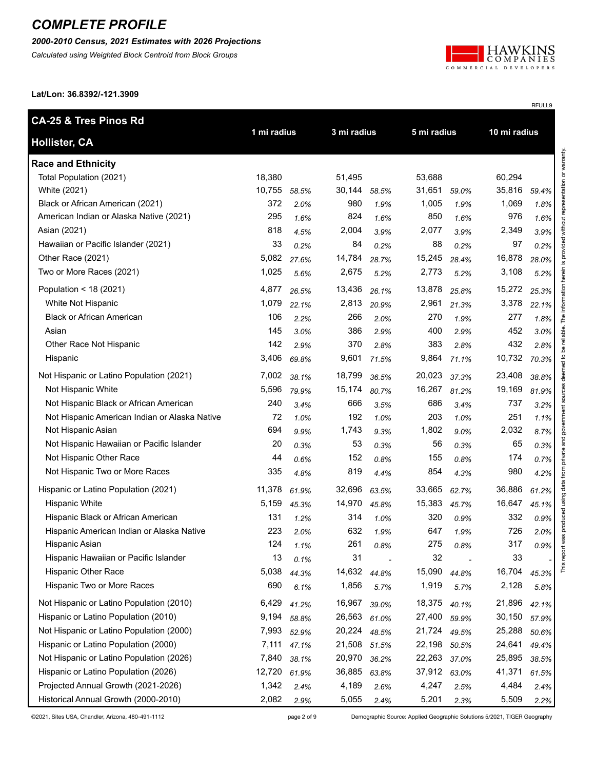#### *2000-2010 Census, 2021 Estimates with 2026 Projections*

*Calculated using Weighted Block Centroid from Block Groups*



RFULL9

**Lat/Lon: 36.8392/-121.3909**

| <b>CA-25 &amp; Tres Pinos Rd</b>              |             |       |             |       |             |       |              |       |
|-----------------------------------------------|-------------|-------|-------------|-------|-------------|-------|--------------|-------|
| <b>Hollister, CA</b>                          | 1 mi radius |       | 3 mi radius |       | 5 mi radius |       | 10 mi radius |       |
| <b>Race and Ethnicity</b>                     |             |       |             |       |             |       |              |       |
| Total Population (2021)                       | 18,380      |       | 51,495      |       | 53,688      |       | 60,294       |       |
| White (2021)                                  | 10,755      | 58.5% | 30,144      | 58.5% | 31,651      | 59.0% | 35,816       | 59.4% |
| Black or African American (2021)              | 372         | 2.0%  | 980         | 1.9%  | 1,005       | 1.9%  | 1,069        | 1.8%  |
| American Indian or Alaska Native (2021)       | 295         | 1.6%  | 824         | 1.6%  | 850         | 1.6%  | 976          | 1.6%  |
| Asian (2021)                                  | 818         | 4.5%  | 2,004       | 3.9%  | 2,077       | 3.9%  | 2,349        | 3.9%  |
| Hawaiian or Pacific Islander (2021)           | 33          | 0.2%  | 84          | 0.2%  | 88          | 0.2%  | 97           | 0.2%  |
| Other Race (2021)                             | 5,082       | 27.6% | 14,784      | 28.7% | 15,245      | 28.4% | 16,878       | 28.0% |
| Two or More Races (2021)                      | 1,025       | 5.6%  | 2,675       | 5.2%  | 2,773       | 5.2%  | 3,108        | 5.2%  |
| Population < 18 (2021)                        | 4,877       | 26.5% | 13,436      | 26.1% | 13,878      | 25.8% | 15,272       | 25.3% |
| White Not Hispanic                            | 1,079       | 22.1% | 2,813       | 20.9% | 2,961       | 21.3% | 3,378        | 22.1% |
| <b>Black or African American</b>              | 106         | 2.2%  | 266         | 2.0%  | 270         | 1.9%  | 277          | 1.8%  |
| Asian                                         | 145         | 3.0%  | 386         | 2.9%  | 400         | 2.9%  | 452          | 3.0%  |
| Other Race Not Hispanic                       | 142         | 2.9%  | 370         | 2.8%  | 383         | 2.8%  | 432          | 2.8%  |
| Hispanic                                      | 3,406       | 69.8% | 9,601       | 71.5% | 9,864       | 71.1% | 10,732       | 70.3% |
| Not Hispanic or Latino Population (2021)      | 7,002       | 38.1% | 18,799      | 36.5% | 20,023      | 37.3% | 23,408       | 38.8% |
| Not Hispanic White                            | 5,596       | 79.9% | 15,174      | 80.7% | 16,267      | 81.2% | 19,169       | 81.9% |
| Not Hispanic Black or African American        | 240         | 3.4%  | 666         | 3.5%  | 686         | 3.4%  | 737          | 3.2%  |
| Not Hispanic American Indian or Alaska Native | 72          | 1.0%  | 192         | 1.0%  | 203         | 1.0%  | 251          | 1.1%  |
| Not Hispanic Asian                            | 694         | 9.9%  | 1,743       | 9.3%  | 1,802       | 9.0%  | 2,032        | 8.7%  |
| Not Hispanic Hawaiian or Pacific Islander     | 20          | 0.3%  | 53          | 0.3%  | 56          | 0.3%  | 65           | 0.3%  |
| Not Hispanic Other Race                       | 44          | 0.6%  | 152         | 0.8%  | 155         | 0.8%  | 174          | 0.7%  |
| Not Hispanic Two or More Races                | 335         | 4.8%  | 819         | 4.4%  | 854         | 4.3%  | 980          | 4.2%  |
| Hispanic or Latino Population (2021)          | 11,378      | 61.9% | 32,696      | 63.5% | 33,665      | 62.7% | 36,886       | 61.2% |
| <b>Hispanic White</b>                         | 5,159       | 45.3% | 14,970      | 45.8% | 15,383      | 45.7% | 16,647       | 45.1% |
| Hispanic Black or African American            | 131         | 1.2%  | 314         | 1.0%  | 320         | 0.9%  | 332          | 0.9%  |
| Hispanic American Indian or Alaska Native     | 223         | 2.0%  | 632         | 1.9%  | 647         | 1.9%  | 726          | 2.0%  |
| Hispanic Asian                                | 124         | 1.1%  | 261         | 0.8%  | 275         | 0.8%  | 317          | 0.9%  |
| Hispanic Hawaiian or Pacific Islander         | 13          | 0.1%  | 31          |       | 32          |       | 33           |       |
| <b>Hispanic Other Race</b>                    | 5,038       | 44.3% | 14,632      | 44.8% | 15,090      | 44.8% | 16,704       | 45.3% |
| Hispanic Two or More Races                    | 690         | 6.1%  | 1,856       | 5.7%  | 1,919       | 5.7%  | 2,128        | 5.8%  |
| Not Hispanic or Latino Population (2010)      | 6,429       | 41.2% | 16,967      | 39.0% | 18,375      | 40.1% | 21,896       | 42.1% |
| Hispanic or Latino Population (2010)          | 9,194       | 58.8% | 26,563      | 61.0% | 27,400      | 59.9% | 30,150       | 57.9% |
| Not Hispanic or Latino Population (2000)      | 7,993       | 52.9% | 20,224      | 48.5% | 21,724      | 49.5% | 25,288       | 50.6% |
| Hispanic or Latino Population (2000)          | 7,111       | 47.1% | 21,508      | 51.5% | 22,198      | 50.5% | 24,641       | 49.4% |
| Not Hispanic or Latino Population (2026)      | 7,840       | 38.1% | 20,970      | 36.2% | 22,263      | 37.0% | 25,895       | 38.5% |
| Hispanic or Latino Population (2026)          | 12,720      | 61.9% | 36,885      | 63.8% | 37,912      | 63.0% | 41,371       | 61.5% |
| Projected Annual Growth (2021-2026)           | 1,342       | 2.4%  | 4,189       | 2.6%  | 4,247       | 2.5%  | 4,484        | 2.4%  |
| Historical Annual Growth (2000-2010)          | 2,082       | 2.9%  | 5,055       | 2.4%  | 5,201       | 2.3%  | 5,509        | 2.2%  |

©2021, Sites USA, Chandler, Arizona, 480-491-1112 page 2 of 9 Demographic Source: Applied Geographic Solutions 5/2021, TIGER Geography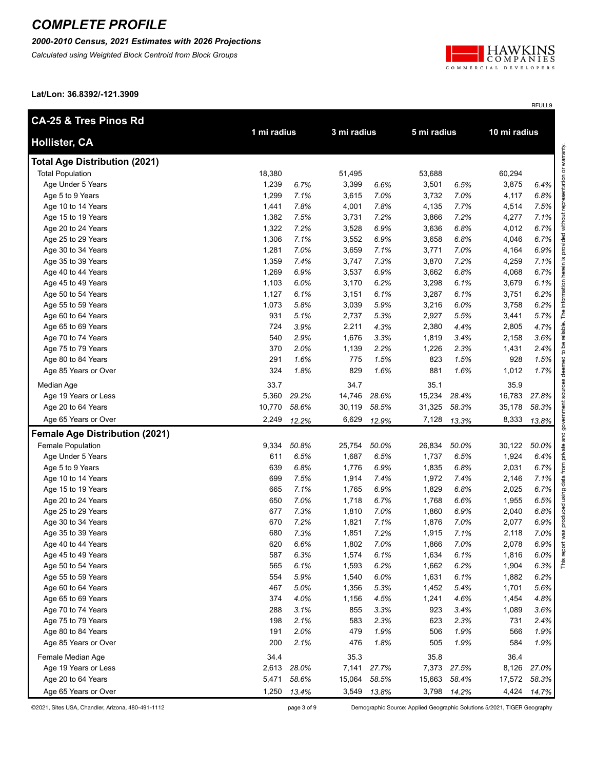#### *2000-2010 Census, 2021 Estimates with 2026 Projections*

*Calculated using Weighted Block Centroid from Block Groups*



RFULL9

**Lat/Lon: 36.8392/-121.3909**

| <b>CA-25 &amp; Tres Pinos Rd</b>      | 1 mi radius |       | 3 mi radius |             | 5 mi radius |             | 10 mi radius |       |
|---------------------------------------|-------------|-------|-------------|-------------|-------------|-------------|--------------|-------|
| <b>Hollister, CA</b>                  |             |       |             |             |             |             |              |       |
| <b>Total Age Distribution (2021)</b>  |             |       |             |             |             |             |              |       |
| <b>Total Population</b>               | 18,380      |       | 51,495      |             | 53,688      |             | 60,294       |       |
| Age Under 5 Years                     | 1,239       | 6.7%  | 3,399       | 6.6%        | 3,501       | 6.5%        | 3,875        | 6.4%  |
| Age 5 to 9 Years                      | 1,299       | 7.1%  | 3,615       | 7.0%        | 3,732       | 7.0%        | 4,117        | 6.8%  |
| Age 10 to 14 Years                    | 1,441       | 7.8%  | 4,001       | 7.8%        | 4,135       | 7.7%        | 4,514        | 7.5%  |
| Age 15 to 19 Years                    | 1,382       | 7.5%  | 3,731       | 7.2%        | 3,866       | 7.2%        | 4,277        | 7.1%  |
| Age 20 to 24 Years                    | 1,322       | 7.2%  | 3,528       | 6.9%        | 3,636       | 6.8%        | 4,012        | 6.7%  |
| Age 25 to 29 Years                    | 1,306       | 7.1%  | 3,552       | 6.9%        | 3,658       | 6.8%        | 4,046        | 6.7%  |
| Age 30 to 34 Years                    | 1,281       | 7.0%  | 3,659       | 7.1%        | 3,771       | 7.0%        | 4,164        | 6.9%  |
| Age 35 to 39 Years                    | 1,359       | 7.4%  | 3,747       | 7.3%        | 3,870       | 7.2%        | 4,259        | 7.1%  |
| Age 40 to 44 Years                    | 1,269       | 6.9%  | 3,537       | 6.9%        | 3,662       | 6.8%        | 4,068        | 6.7%  |
| Age 45 to 49 Years                    | 1,103       | 6.0%  | 3,170       | 6.2%        | 3,298       | 6.1%        | 3,679        | 6.1%  |
| Age 50 to 54 Years                    | 1,127       | 6.1%  | 3,151       | 6.1%        | 3,287       | 6.1%        | 3,751        | 6.2%  |
| Age 55 to 59 Years                    | 1,073       | 5.8%  | 3,039       | 5.9%        | 3,216       | 6.0%        | 3,758        | 6.2%  |
| Age 60 to 64 Years                    | 931         | 5.1%  | 2,737       | 5.3%        | 2,927       | 5.5%        | 3,441        | 5.7%  |
| Age 65 to 69 Years                    | 724         | 3.9%  | 2,211       | 4.3%        | 2,380       | 4.4%        | 2,805        | 4.7%  |
| Age 70 to 74 Years                    | 540         | 2.9%  | 1,676       | 3.3%        | 1,819       | 3.4%        | 2,158        | 3.6%  |
| Age 75 to 79 Years                    | 370         | 2.0%  | 1,139       | 2.2%        | 1,226       | 2.3%        | 1,431        | 2.4%  |
| Age 80 to 84 Years                    | 291         | 1.6%  | 775         | 1.5%        | 823         | 1.5%        | 928          | 1.5%  |
| Age 85 Years or Over                  | 324         | 1.8%  | 829         | 1.6%        | 881         | 1.6%        | 1,012        | 1.7%  |
| Median Age                            | 33.7        |       | 34.7        |             | 35.1        |             | 35.9         |       |
| Age 19 Years or Less                  | 5,360       | 29.2% | 14,746      | 28.6%       | 15,234      | 28.4%       | 16,783       | 27.8% |
| Age 20 to 64 Years                    | 10,770      | 58.6% | 30,119      | 58.5%       | 31,325      | 58.3%       | 35,178       | 58.3% |
| Age 65 Years or Over                  | 2,249       | 12.2% | 6,629       | 12.9%       | 7,128       | 13.3%       | 8,333        | 13.8% |
| <b>Female Age Distribution (2021)</b> |             |       |             |             |             |             |              |       |
| Female Population                     | 9,334       | 50.8% | 25,754      | 50.0%       | 26,834      | 50.0%       | 30,122       | 50.0% |
| Age Under 5 Years                     | 611         | 6.5%  | 1,687       | 6.5%        | 1,737       | 6.5%        | 1,924        | 6.4%  |
| Age 5 to 9 Years                      | 639         | 6.8%  | 1,776       | 6.9%        | 1,835       | 6.8%        | 2,031        | 6.7%  |
| Age 10 to 14 Years                    | 699         | 7.5%  | 1,914       | 7.4%        | 1,972       | 7.4%        | 2,146        | 7.1%  |
| Age 15 to 19 Years                    | 665         | 7.1%  | 1,765       | 6.9%        | 1,829       | 6.8%        | 2,025        | 6.7%  |
| Age 20 to 24 Years                    | 650         | 7.0%  | 1,718       | 6.7%        | 1,768       | 6.6%        | 1,955        | 6.5%  |
| Age 25 to 29 Years                    | 677         | 7.3%  | 1,810       | 7.0%        | 1,860       | 6.9%        | 2,040        | 6.8%  |
| Age 30 to 34 Years                    | 670         | 7.2%  | 1,821       | 7.1%        | 1,876       | 7.0%        | 2,077        | 6.9%  |
| Age 35 to 39 Years                    | 680         | 7.3%  | 1,851       | 7.2%        | 1,915       | 7.1%        | 2,118        | 7.0%  |
| Age 40 to 44 Years                    | 620         | 6.6%  | 1,802       | 7.0%        | 1,866       | 7.0%        | 2,078        | 6.9%  |
| Age 45 to 49 Years                    | 587         | 6.3%  | 1,574       | 6.1%        | 1,634       | 6.1%        | 1,816        | 6.0%  |
| Age 50 to 54 Years                    | 565         | 6.1%  | 1,593       | 6.2%        | 1,662       | 6.2%        | 1,904        | 6.3%  |
| Age 55 to 59 Years                    | 554         | 5.9%  | 1,540       | 6.0%        | 1,631       | 6.1%        | 1,882        | 6.2%  |
| Age 60 to 64 Years                    | 467         | 5.0%  | 1,356       | 5.3%        | 1,452       | 5.4%        | 1,701        | 5.6%  |
| Age 65 to 69 Years                    | 374         | 4.0%  | 1,156       | 4.5%        | 1,241       | 4.6%        | 1,454        | 4.8%  |
| Age 70 to 74 Years                    | 288         | 3.1%  | 855         | 3.3%        | 923         | 3.4%        | 1,089        | 3.6%  |
| Age 75 to 79 Years                    | 198         | 2.1%  | 583         | 2.3%        | 623         | 2.3%        | 731          | 2.4%  |
| Age 80 to 84 Years                    | 191         | 2.0%  | 479         | 1.9%        | 506         | 1.9%        | 566          | 1.9%  |
| Age 85 Years or Over                  | 200         | 2.1%  | 476         | 1.8%        | 505         | 1.9%        | 584          | 1.9%  |
| Female Median Age                     | 34.4        |       | 35.3        |             | 35.8        |             | 36.4         |       |
| Age 19 Years or Less                  | 2,613       | 28.0% | 7,141       | 27.7%       | 7,373       | 27.5%       | 8,126        | 27.0% |
| Age 20 to 64 Years                    | 5,471       | 58.6% | 15,064      | 58.5%       | 15,663      | 58.4%       | 17,572       | 58.3% |
| Age 65 Years or Over                  | 1,250       | 13.4% |             | 3,549 13.8% |             | 3,798 14.2% | 4,424        | 14.7% |

©2021, Sites USA, Chandler, Arizona, 480-491-1112 page 3 of 9 Demographic Source: Applied Geographic Solutions 5/2021, TIGER Geography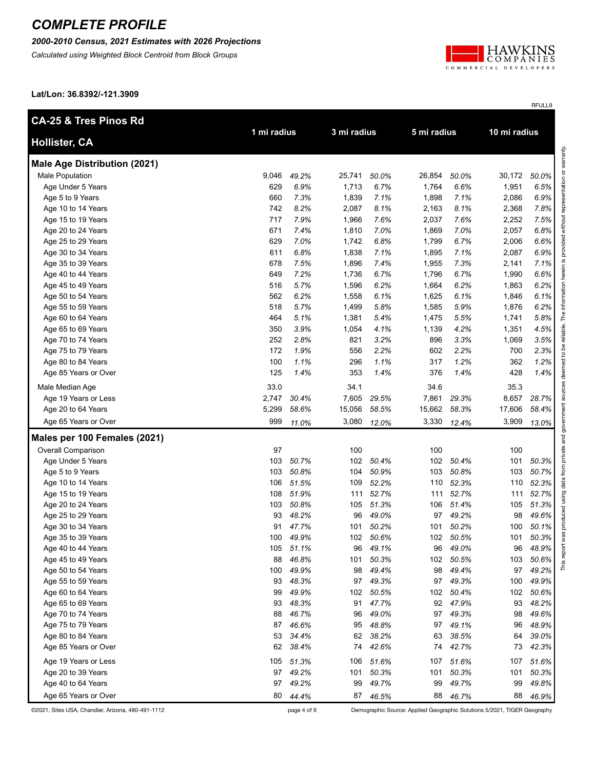#### *2000-2010 Census, 2021 Estimates with 2026 Projections*

*Calculated using Weighted Block Centroid from Block Groups*



RFULL9

**Lat/Lon: 36.8392/-121.3909**

| <b>CA-25 &amp; Tres Pinos Rd</b>    |             |           |             |           |        |           |             |       |  |              |  |  |
|-------------------------------------|-------------|-----------|-------------|-----------|--------|-----------|-------------|-------|--|--------------|--|--|
| <b>Hollister, CA</b>                | 1 mi radius |           | 3 mi radius |           |        |           | 5 mi radius |       |  | 10 mi radius |  |  |
| <b>Male Age Distribution (2021)</b> |             |           |             |           |        |           |             |       |  |              |  |  |
| <b>Male Population</b>              | 9,046       | 49.2%     | 25,741      | 50.0%     | 26,854 | 50.0%     | 30,172      | 50.0% |  |              |  |  |
| Age Under 5 Years                   | 629         | 6.9%      | 1,713       | 6.7%      | 1,764  | 6.6%      | 1,951       | 6.5%  |  |              |  |  |
| Age 5 to 9 Years                    | 660         | 7.3%      | 1,839       | 7.1%      | 1,898  | 7.1%      | 2,086       | 6.9%  |  |              |  |  |
| Age 10 to 14 Years                  | 742         | 8.2%      | 2,087       | 8.1%      | 2,163  | 8.1%      | 2,368       | 7.8%  |  |              |  |  |
| Age 15 to 19 Years                  | 717         | 7.9%      | 1,966       | 7.6%      | 2,037  | 7.6%      | 2,252       | 7.5%  |  |              |  |  |
| Age 20 to 24 Years                  | 671         | 7.4%      | 1,810       | 7.0%      | 1,869  | 7.0%      | 2,057       | 6.8%  |  |              |  |  |
| Age 25 to 29 Years                  | 629         | 7.0%      | 1,742       | 6.8%      | 1,799  | 6.7%      | 2,006       | 6.6%  |  |              |  |  |
| Age 30 to 34 Years                  | 611         | 6.8%      | 1,838       | 7.1%      | 1,895  | 7.1%      | 2,087       | 6.9%  |  |              |  |  |
| Age 35 to 39 Years                  | 678         | 7.5%      | 1,896       | 7.4%      | 1,955  | 7.3%      | 2,141       | 7.1%  |  |              |  |  |
| Age 40 to 44 Years                  | 649         | 7.2%      | 1,736       | 6.7%      | 1,796  | 6.7%      | 1,990       | 6.6%  |  |              |  |  |
| Age 45 to 49 Years                  | 516         | 5.7%      | 1,596       | 6.2%      | 1,664  | 6.2%      | 1,863       | 6.2%  |  |              |  |  |
| Age 50 to 54 Years                  | 562         | 6.2%      | 1,558       | 6.1%      | 1,625  | 6.1%      | 1,846       | 6.1%  |  |              |  |  |
| Age 55 to 59 Years                  | 518         | 5.7%      | 1,499       | 5.8%      | 1,585  | 5.9%      | 1,876       | 6.2%  |  |              |  |  |
| Age 60 to 64 Years                  | 464         | 5.1%      | 1,381       | 5.4%      | 1,475  | 5.5%      | 1,741       | 5.8%  |  |              |  |  |
| Age 65 to 69 Years                  | 350         | 3.9%      | 1,054       | 4.1%      | 1,139  | 4.2%      | 1,351       | 4.5%  |  |              |  |  |
| Age 70 to 74 Years                  | 252         | 2.8%      | 821         | 3.2%      | 896    | 3.3%      | 1,069       | 3.5%  |  |              |  |  |
| Age 75 to 79 Years                  | 172         | 1.9%      | 556         | 2.2%      | 602    | 2.2%      | 700         | 2.3%  |  |              |  |  |
| Age 80 to 84 Years                  | 100         | 1.1%      | 296         | 1.1%      | 317    | 1.2%      | 362         | 1.2%  |  |              |  |  |
| Age 85 Years or Over                | 125         | 1.4%      | 353         | 1.4%      | 376    | 1.4%      | 428         | 1.4%  |  |              |  |  |
| Male Median Age                     | 33.0        |           | 34.1        |           | 34.6   |           | 35.3        |       |  |              |  |  |
| Age 19 Years or Less                | 2,747       | 30.4%     | 7,605       | 29.5%     | 7,861  | 29.3%     | 8,657       | 28.7% |  |              |  |  |
| Age 20 to 64 Years                  | 5,299       | 58.6%     | 15,056      | 58.5%     | 15,662 | 58.3%     | 17,606      | 58.4% |  |              |  |  |
| Age 65 Years or Over                | 999         | 11.0%     | 3,080       | 12.0%     | 3,330  | 12.4%     | 3,909       | 13.0% |  |              |  |  |
| Males per 100 Females (2021)        |             |           |             |           |        |           |             |       |  |              |  |  |
| Overall Comparison                  | 97          |           | 100         |           | 100    |           | 100         |       |  |              |  |  |
| Age Under 5 Years                   | 103         | 50.7%     | 102         | 50.4%     | 102    | 50.4%     | 101         | 50.3% |  |              |  |  |
| Age 5 to 9 Years                    | 103         | 50.8%     | 104         | 50.9%     | 103    | 50.8%     | 103         | 50.7% |  |              |  |  |
| Age 10 to 14 Years                  | 106         | 51.5%     | 109         | 52.2%     | 110    | 52.3%     | 110         | 52.3% |  |              |  |  |
| Age 15 to 19 Years                  | 108         | 51.9%     | 111         | 52.7%     | 111    | 52.7%     | 111         | 52.7% |  |              |  |  |
| Age 20 to 24 Years                  | 103         | 50.8%     | 105         | 51.3%     | 106    | 51.4%     | 105         | 51.3% |  |              |  |  |
| Age 25 to 29 Years                  | 93          | 48.2%     | 96          | 49.0%     | 97     | 49.2%     | 98          | 49.6% |  |              |  |  |
| Age 30 to 34 Years                  | 91          | 47.7%     | 101         | 50.2%     | 101    | 50.2%     | 100         | 50.1% |  |              |  |  |
| Age 35 to 39 Years                  | 100         | 49.9%     |             | 102 50.6% | 102    | 50.5%     | 101         | 50.3% |  |              |  |  |
| Age 40 to 44 Years                  |             | 105 51.1% | 96          | 49.1%     | 96     | 49.0%     | 96          | 48.9% |  |              |  |  |
| Age 45 to 49 Years                  | 88          | 46.8%     | 101         | 50.3%     |        | 102 50.5% | 103         | 50.6% |  |              |  |  |
| Age 50 to 54 Years                  | 100         | 49.9%     | 98          | 49.4%     | 98     | 49.4%     | 97          | 49.2% |  |              |  |  |
| Age 55 to 59 Years                  | 93          | 48.3%     | 97          | 49.3%     | 97     | 49.3%     | 100         | 49.9% |  |              |  |  |
| Age 60 to 64 Years                  | 99          | 49.9%     | 102         | 50.5%     | 102    | 50.4%     | 102         | 50.6% |  |              |  |  |
| Age 65 to 69 Years                  | 93          | 48.3%     | 91          | 47.7%     | 92     | 47.9%     | 93          | 48.2% |  |              |  |  |
| Age 70 to 74 Years                  | 88          | 46.7%     | 96          | 49.0%     | 97     | 49.3%     | 98          | 49.6% |  |              |  |  |
| Age 75 to 79 Years                  | 87          | 46.6%     | 95          | 48.8%     | 97     | 49.1%     | 96          | 48.9% |  |              |  |  |
| Age 80 to 84 Years                  | 53          | 34.4%     | 62          | 38.2%     | 63     | 38.5%     | 64          | 39.0% |  |              |  |  |
| Age 85 Years or Over                | 62          | 38.4%     | 74          | 42.6%     | 74     | 42.7%     | 73          | 42.3% |  |              |  |  |
| Age 19 Years or Less                | 105         | 51.3%     | 106         | 51.6%     | 107    | 51.6%     | 107         | 51.6% |  |              |  |  |
| Age 20 to 39 Years                  | 97          | 49.2%     | 101         | 50.3%     | 101    | 50.3%     | 101         | 50.3% |  |              |  |  |
| Age 40 to 64 Years                  | 97          | 49.2%     | 99          | 49.7%     | 99     | 49.7%     | 99          | 49.8% |  |              |  |  |
| Age 65 Years or Over                | 80          | 44.4%     |             | 87 46.5%  | 88     | 46.7%     | 88          | 46.9% |  |              |  |  |

©2021, Sites USA, Chandler, Arizona, 480-491-1112 page 4 of 9 Demographic Source: Applied Geographic Solutions 5/2021, TIGER Geography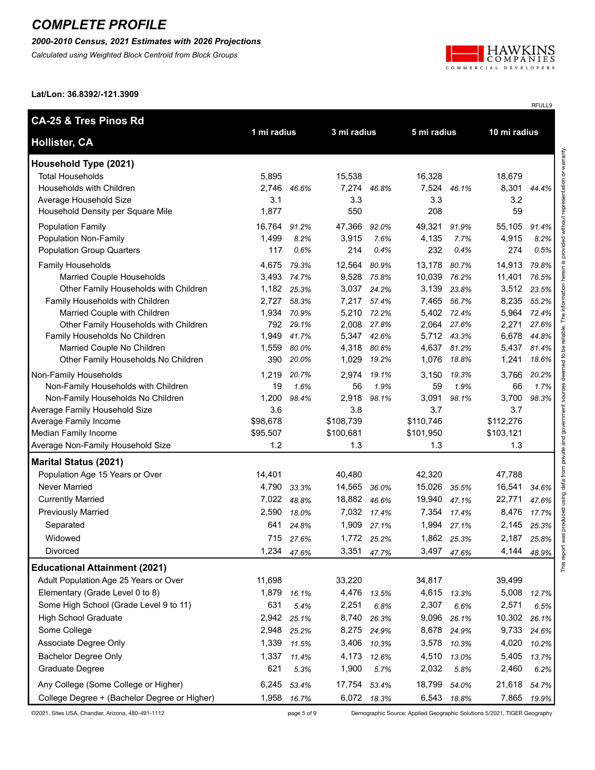#### *2000-2010 Census, 2021 Estimates with 2026 Projections*

*Calculated using Weighted Block Centroid from Block Groups*



RFULL9

**Lat/Lon: 36.8392/-121.3909**

| <b>CA-25 &amp; Tres Pinos Rd</b>             |                 |             |                  |             |                  | 10 mi radius |                  |       |
|----------------------------------------------|-----------------|-------------|------------------|-------------|------------------|--------------|------------------|-------|
| <b>Hollister, CA</b>                         | 1 mi radius     |             | 3 mi radius      |             | 5 mi radius      |              |                  |       |
| Household Type (2021)                        |                 |             |                  |             |                  |              |                  |       |
| <b>Total Households</b>                      | 5,895           |             | 15,538           |             | 16,328           |              | 18,679           |       |
| Households with Children                     | 2,746           | 46.6%       |                  | 7,274 46.8% | 7,524            | 46.1%        | 8,301            | 44.4% |
| Average Household Size                       | 3.1             |             | 3.3              |             | 3.3              |              | 3.2              |       |
| Household Density per Square Mile            | 1,877           |             | 550              |             | 208              |              | 59               |       |
| <b>Population Family</b>                     | 16,764          | 91.2%       | 47,366           | 92.0%       | 49,321           | 91.9%        | 55,105           | 91.4% |
| <b>Population Non-Family</b>                 | 1,499           | 8.2%        | 3,915            | 7.6%        | 4,135            | 7.7%         | 4,915            | 8.2%  |
| <b>Population Group Quarters</b>             | 117             | 0.6%        | 214              | 0.4%        | 232              | 0.4%         | 274              | 0.5%  |
| Family Households                            | 4,675           | 79.3%       | 12,564           | 80.9%       | 13,178           | 80.7%        | 14,913           | 79.8% |
| Married Couple Households                    | 3,493           | 74.7%       | 9,528            | 75.8%       | 10,039           | 76.2%        | 11,401           | 76.5% |
| Other Family Households with Children        | 1,182           | 25.3%       | 3,037            | 24.2%       | 3,139            | 23.8%        | 3,512            | 23.5% |
| Family Households with Children              | 2,727           | 58.3%       | 7,217            | 57.4%       |                  | 7,465 56.7%  | 8,235            | 55.2% |
| Married Couple with Children                 | 1,934           | 70.9%       | 5,210            | 72.2%       |                  | 5,402 72.4%  | 5,964            | 72.4% |
| Other Family Households with Children        | 792             | 29.1%       | 2,008            | 27.8%       |                  | 2,064 27.6%  | 2,271            | 27.6% |
| Family Households No Children                | 1,949           | 41.7%       | 5,347            | 42.6%       |                  | 5,712 43.3%  | 6,678            | 44.8% |
| Married Couple No Children                   | 1,559           | 80.0%       | 4,318            | 80.8%       |                  | 4,637 81.2%  | 5,437            | 81.4% |
| Other Family Households No Children          | 390             | 20.0%       | 1,029            | 19.2%       | 1,076            | 18.8%        | 1,241            | 18.6% |
| Non-Family Households                        | 1,219           | 20.7%       | 2,974            | 19.1%       | 3,150            | 19.3%        | 3,766            | 20.2% |
| Non-Family Households with Children          | 19              | 1.6%        | 56               | 1.9%        | 59               | 1.9%         | 66               | 1.7%  |
| Non-Family Households No Children            | 1,200           | 98.4%       | 2,918            | 98.1%       | 3,091            | 98.1%        | 3,700            | 98.3% |
| Average Family Household Size                | 3.6             |             | 3.8              |             | 3.7              |              | 3.7              |       |
| Average Family Income                        | \$98,678        |             | \$108,739        |             | \$110,746        |              | \$112,276        |       |
| Median Family Income                         | \$95,507<br>1.2 |             | \$100,681<br>1.3 |             | \$101,950<br>1.3 |              | \$103,121<br>1.3 |       |
| Average Non-Family Household Size            |                 |             |                  |             |                  |              |                  |       |
| <b>Marital Status (2021)</b>                 |                 |             |                  |             |                  |              |                  |       |
| Population Age 15 Years or Over              | 14,401          |             | 40,480           |             | 42,320           |              | 47,788           |       |
| <b>Never Married</b>                         | 4,790           | 33.3%       | 14,565           | 36.0%       | 15,026           | 35.5%        | 16,541           | 34.6% |
| <b>Currently Married</b>                     | 7,022           | 48.8%       | 18,882 46.6%     |             | 19,940           | 47.1%        | 22,771           | 47.6% |
| <b>Previously Married</b>                    | 2,590           | 18.0%       |                  | 7,032 17.4% | 7,354            | 17.4%        | 8,476            | 17.7% |
| Separated<br>Widowed                         | 641             | 24.8%       | 1,909            | 27.1%       | 1,994            | 27.1%        | 2,145            | 25.3% |
|                                              | 715             | 27.6%       |                  | 1,772 25.2% |                  | 1,862 25.3%  | 2,187            | 25.8% |
| Divorced                                     |                 | 1,234 47.6% | 3,351            | 47.7%       |                  | 3,497 47.6%  | 4,144            | 48.9% |
| <b>Educational Attainment (2021)</b>         |                 |             |                  |             |                  |              |                  |       |
| Adult Population Age 25 Years or Over        | 11,698          |             | 33,220           |             | 34,817           |              | 39,499           |       |
| Elementary (Grade Level 0 to 8)              | 1,879           | 16.1%       | 4,476            | 13.5%       |                  | 4,615 13.3%  | 5,008            | 12.7% |
| Some High School (Grade Level 9 to 11)       | 631             | 5.4%        | 2,251            | 6.8%        | 2,307            | 6.6%         | 2,571            | 6.5%  |
| <b>High School Graduate</b>                  | 2,942           | 25.1%       | 8,740            | 26.3%       | 9,096            | 26.1%        | 10,302           | 26.1% |
| Some College                                 | 2,948           | 25.2%       | 8,275            | 24.9%       | 8,678            | 24.9%        | 9,733            | 24.6% |
| Associate Degree Only                        | 1,339           | 11.5%       | 3,406            | 10.3%       | 3,578            | 10.3%        | 4,020            | 10.2% |
| <b>Bachelor Degree Only</b>                  | 1,337           | 11.4%       | 4,173            | 12.6%       | 4,510            | 13.0%        | 5,405            | 13.7% |
| Graduate Degree                              | 621             | 5.3%        | 1,900            | 5.7%        | 2,032            | 5.8%         | 2,460            | 6.2%  |
| Any College (Some College or Higher)         | 6,245           | 53.4%       | 17,754           | 53.4%       | 18,799           | 54.0%        | 21,618           | 54.7% |
| College Degree + (Bachelor Degree or Higher) | 1,958           | 16.7%       |                  | 6,072 18.3% |                  | 6,543 18.8%  | 7,865            | 19.9% |

©2021, Sites USA, Chandler, Arizona, 480-491-1112 page 5 of 9 Demographic Source: Applied Geographic Solutions 5/2021, TIGER Geography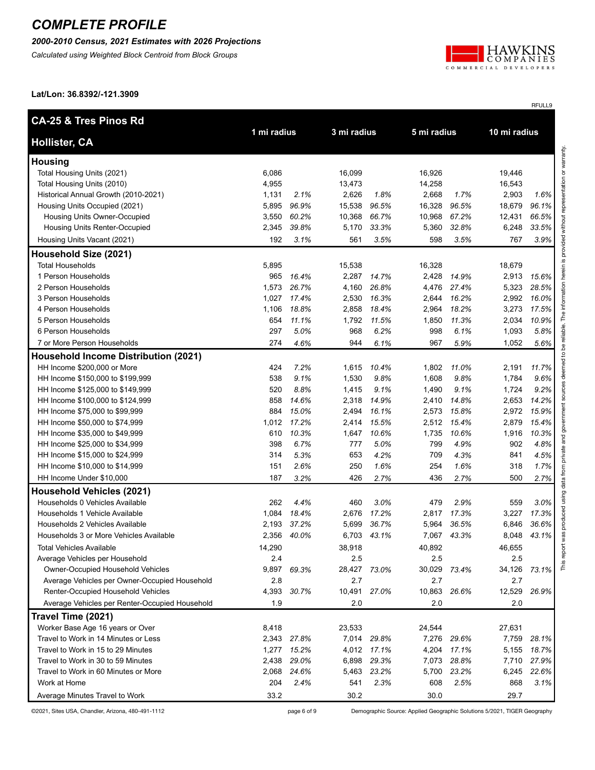#### *2000-2010 Census, 2021 Estimates with 2026 Projections*

*Calculated using Weighted Block Centroid from Block Groups*



RFULL9

**Lat/Lon: 36.8392/-121.3909**

| <b>CA-25 &amp; Tres Pinos Rd</b>                     |              |               |              |               |              |               |              |               |
|------------------------------------------------------|--------------|---------------|--------------|---------------|--------------|---------------|--------------|---------------|
| <b>Hollister, CA</b>                                 | 1 mi radius  |               | 3 mi radius  |               | 5 mi radius  |               | 10 mi radius |               |
| <b>Housing</b>                                       |              |               |              |               |              |               |              |               |
| Total Housing Units (2021)                           | 6,086        |               | 16,099       |               | 16,926       |               | 19,446       |               |
| Total Housing Units (2010)                           | 4,955        |               | 13,473       |               | 14,258       |               | 16,543       |               |
| Historical Annual Growth (2010-2021)                 | 1,131        | 2.1%          | 2,626        | 1.8%          | 2,668        | 1.7%          | 2,903        | 1.6%          |
| Housing Units Occupied (2021)                        | 5,895        | 96.9%         | 15,538       | 96.5%         | 16,328       | 96.5%         | 18,679       | 96.1%         |
| Housing Units Owner-Occupied                         | 3,550        | 60.2%         | 10,368       | 66.7%         | 10,968       | 67.2%         | 12,431       | 66.5%         |
| Housing Units Renter-Occupied                        | 2,345        | 39.8%         | 5,170        | 33.3%         | 5,360        | 32.8%         | 6,248        | 33.5%         |
| Housing Units Vacant (2021)                          | 192          | 3.1%          | 561          | 3.5%          | 598          | 3.5%          | 767          | 3.9%          |
| Household Size (2021)                                |              |               |              |               |              |               |              |               |
| <b>Total Households</b>                              | 5,895        |               | 15,538       |               | 16,328       |               | 18,679       |               |
| 1 Person Households                                  | 965          | 16.4%         | 2,287        | 14.7%         | 2,428        | 14.9%         | 2,913        | 15.6%         |
| 2 Person Households                                  | 1,573        | 26.7%         | 4,160        | 26.8%         | 4,476        | 27.4%         | 5,323        | 28.5%         |
| 3 Person Households                                  | 1,027        | 17.4%         | 2,530        | 16.3%         | 2,644        | 16.2%         | 2,992        | 16.0%         |
| 4 Person Households                                  | 1,106        | 18.8%         | 2,858        | 18.4%         | 2,964        | 18.2%         | 3,273        | 17.5%         |
| 5 Person Households                                  | 654          | 11.1%         | 1,792        | 11.5%         | 1,850        | 11.3%         | 2,034        | 10.9%         |
| 6 Person Households                                  | 297          | 5.0%          | 968          | 6.2%          | 998          | 6.1%          | 1,093        | 5.8%          |
| 7 or More Person Households                          | 274          | 4.6%          | 944          | 6.1%          | 967          | 5.9%          | 1,052        | 5.6%          |
| <b>Household Income Distribution (2021)</b>          |              |               |              |               |              |               |              |               |
| HH Income \$200,000 or More                          | 424          | 7.2%          | 1,615        | 10.4%         | 1,802        | 11.0%         | 2,191        | 11.7%         |
| HH Income \$150,000 to \$199,999                     | 538          | 9.1%          | 1,530        | 9.8%          | 1,608        | 9.8%          | 1,784        | 9.6%          |
| HH Income \$125,000 to \$149,999                     | 520          | 8.8%          | 1,415        | 9.1%          | 1,490        | 9.1%          | 1,724        | 9.2%          |
| HH Income \$100,000 to \$124,999                     | 858          | 14.6%         | 2,318        | 14.9%         | 2,410        | 14.8%         | 2,653        | 14.2%         |
| HH Income \$75,000 to \$99,999                       | 884          | 15.0%         | 2,494        | 16.1%         | 2,573        | 15.8%         | 2,972        | 15.9%         |
| HH Income \$50,000 to \$74,999                       | 1,012        | 17.2%         | 2,414        | 15.5%         | 2,512        | 15.4%         | 2,879        | 15.4%         |
| HH Income \$35,000 to \$49,999                       | 610          | 10.3%         | 1,647        | 10.6%         | 1,735        | 10.6%         | 1,916        | 10.3%         |
| HH Income \$25,000 to \$34,999                       | 398          | 6.7%          | 777          | 5.0%          | 799          | 4.9%          | 902          | 4.8%          |
| HH Income \$15,000 to \$24,999                       | 314          | 5.3%          | 653          | 4.2%          | 709          | 4.3%          | 841          | 4.5%          |
| HH Income \$10,000 to \$14,999                       | 151          | 2.6%          | 250          | 1.6%          | 254          | 1.6%          | 318          | 1.7%          |
| HH Income Under \$10,000                             | 187          | 3.2%          | 426          | 2.7%          | 436          | 2.7%          | 500          | 2.7%          |
| <b>Household Vehicles (2021)</b>                     |              |               |              |               |              |               |              |               |
| Households 0 Vehicles Available                      | 262          | 4.4%          | 460          | 3.0%          | 479          | 2.9%          | 559          | 3.0%          |
| Households 1 Vehicle Available                       | 1,084        | 18.4%         | 2,676        | 17.2%         | 2,817        | 17.3%         | 3,227        | 17.3%         |
| Households 2 Vehicles Available                      | 2,193        | 37.2%         | 5,699        | 36.7%         | 5,964        | 36.5%         | 6,846        | 36.6%         |
| Households 3 or More Vehicles Available              | 2,356        | 40.0%         | 6,703        | 43.1%         | 7,067        | 43.3%         | 8,048        | 43.1%         |
| <b>Total Vehicles Available</b>                      | 14,290       |               | 38,918       |               | 40,892       |               | 46,655       |               |
| Average Vehicles per Household                       | 2.4          |               | 2.5          |               | 2.5          |               | 2.5          |               |
| Owner-Occupied Household Vehicles                    | 9,897        | 69.3%         | 28,427       | 73.0%         | 30,029       | 73.4%         | 34,126       | 73.1%         |
| Average Vehicles per Owner-Occupied Household        | 2.8          |               | 2.7          |               | 2.7          |               | 2.7          |               |
| Renter-Occupied Household Vehicles                   | 4,393        | 30.7%         | 10,491       | 27.0%         | 10,863       | 26.6%         | 12,529       | 26.9%         |
| Average Vehicles per Renter-Occupied Household       | 1.9          |               | 2.0          |               | 2.0          |               | 2.0          |               |
| Travel Time (2021)                                   |              |               |              |               |              |               |              |               |
| Worker Base Age 16 years or Over                     | 8,418        |               | 23,533       |               | 24,544       |               | 27,631       |               |
| Travel to Work in 14 Minutes or Less                 | 2,343        | 27.8%         | 7,014        | 29.8%         | 7,276        | 29.6%         | 7,759        | 28.1%         |
| Travel to Work in 15 to 29 Minutes                   | 1,277        | 15.2%         |              | 4,012 17.1%   | 4,204        | 17.1%         | 5,155        | 18.7%         |
| Travel to Work in 30 to 59 Minutes                   | 2,438        | 29.0%         | 6,898        | 29.3%         | 7,073        | 28.8%         | 7,710        | 27.9%         |
| Travel to Work in 60 Minutes or More<br>Work at Home | 2,068<br>204 | 24.6%<br>2.4% | 5,463<br>541 | 23.2%<br>2.3% | 5,700<br>608 | 23.2%<br>2.5% | 6,245<br>868 | 22.6%<br>3.1% |
|                                                      | 33.2         |               | 30.2         |               | 30.0         |               | 29.7         |               |
| Average Minutes Travel to Work                       |              |               |              |               |              |               |              |               |

©2021, Sites USA, Chandler, Arizona, 480-491-1112 page 6 of 9 Demographic Source: Applied Geographic Solutions 5/2021, TIGER Geography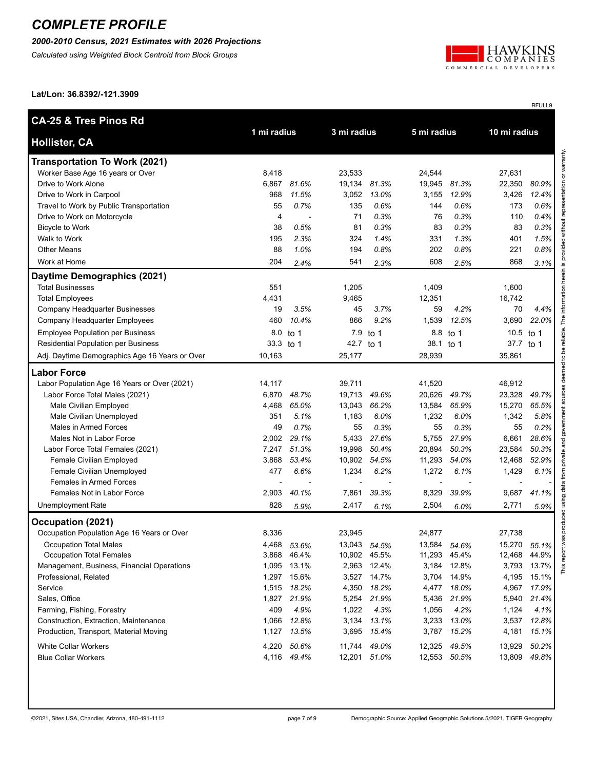### *2000-2010 Census, 2021 Estimates with 2026 Projections*

*Calculated using Weighted Block Centroid from Block Groups*



RFULL9

**Lat/Lon: 36.8392/-121.3909**

| 10 mi radius<br>1 mi radius<br>3 mi radius<br>5 mi radius<br><b>Hollister, CA</b><br><b>Transportation To Work (2021)</b> |       |
|---------------------------------------------------------------------------------------------------------------------------|-------|
|                                                                                                                           |       |
|                                                                                                                           |       |
| Worker Base Age 16 years or Over<br>8,418<br>23,533<br>24,544<br>27,631                                                   |       |
| Drive to Work Alone<br>6,867<br>81.6%<br>19,134<br>81.3%<br>19,945<br>81.3%<br>22,350                                     | 80.9% |
| 968<br>11.5%<br>3,052<br>13.0%<br>12.9%<br>3,426<br>Drive to Work in Carpool<br>3,155                                     | 12.4% |
| Travel to Work by Public Transportation<br>55<br>0.7%<br>135<br>0.6%<br>0.6%<br>173<br>144                                | 0.6%  |
| 71<br>0.3%<br>0.3%<br>Drive to Work on Motorcycle<br>4<br>76<br>110                                                       | 0.4%  |
| 0.3%<br>38<br>0.5%<br>81<br>0.3%<br>83<br>83<br><b>Bicycle to Work</b>                                                    | 0.3%  |
| Walk to Work<br>195<br>2.3%<br>324<br>1.4%<br>331<br>1.3%<br>401                                                          | 1.5%  |
| 0.8%<br>1.0%<br>194<br>0.8%<br>202<br>221<br><b>Other Means</b><br>88                                                     | 0.8%  |
| Work at Home<br>204<br>541<br>608<br>868<br>2.3%<br>2.5%<br>2.4%                                                          | 3.1%  |
| Daytime Demographics (2021)                                                                                               |       |
| <b>Total Businesses</b><br>551<br>1,205<br>1,409<br>1,600                                                                 |       |
| <b>Total Employees</b><br>4,431<br>9,465<br>12,351<br>16,742                                                              |       |
| 3.5%<br>45<br>3.7%<br>59<br>4.2%<br>70<br>Company Headquarter Businesses<br>19                                            | 4.4%  |
| 460<br>10.4%<br>866<br>9.2%<br>1,539<br>12.5%<br>3,690<br>Company Headquarter Employees                                   | 22.0% |
| <b>Employee Population per Business</b><br>8.0<br>7.9<br>8.8 to 1<br>10.5<br>to 1<br>to 1                                 | to 1  |
| Residential Population per Business<br>33.3<br>42.7 to 1<br>38.1<br>37.7<br>to 1<br>to $1$                                | to 1  |
| Adj. Daytime Demographics Age 16 Years or Over<br>10,163<br>25,177<br>28,939<br>35,861                                    |       |
| <b>Labor Force</b>                                                                                                        |       |
| 14,117<br>46,912<br>Labor Population Age 16 Years or Over (2021)<br>39,711<br>41,520                                      |       |
| 6,870<br>48.7%<br>19,713<br>49.6%<br>20,626<br>49.7%<br>23,328<br>Labor Force Total Males (2021)                          | 49.7% |
| 4,468<br>65.0%<br>66.2%<br>13,584<br>65.9%<br>15,270<br>Male Civilian Employed<br>13,043                                  | 65.5% |
| Male Civilian Unemployed<br>351<br>5.1%<br>1,183<br>6.0%<br>1,232<br>6.0%<br>1,342                                        | 5.8%  |
| 0.7%<br>0.3%<br>0.3%<br>Males in Armed Forces<br>49<br>55<br>55<br>55                                                     | 0.2%  |
| Males Not in Labor Force<br>29.1%<br>5,433<br>27.6%<br>5,755<br>27.9%<br>6,661<br>2,002                                   | 28.6% |
| 7,247<br>51.3%<br>19,998<br>50.4%<br>50.3%<br>23,584<br>Labor Force Total Females (2021)<br>20,894                        | 50.3% |
| 3,868<br>53.4%<br>10,902<br>54.5%<br>11,293<br>54.0%<br>12,468<br>Female Civilian Employed                                | 52.9% |
| 1,234<br>477<br>6.6%<br>6.2%<br>1,272<br>6.1%<br>1,429<br>Female Civilian Unemployed                                      | 6.1%  |
| <b>Females in Armed Forces</b>                                                                                            |       |
| 2,903<br>7,861<br>39.3%<br>9,687<br>Females Not in Labor Force<br>40.1%<br>8,329<br>39.9%                                 | 41.1% |
| 828<br>2,417<br>2,504<br>2,771<br>Unemployment Rate<br>5.9%<br>6.1%<br>6.0%                                               | 5.9%  |
| Occupation (2021)                                                                                                         |       |
| Occupation Population Age 16 Years or Over<br>8,336<br>23,945<br>24,877<br>27,738                                         |       |
| 4,468 53.6%<br>13,043 54.5%<br>13,584<br>15,270 55.1%<br><b>Occupation Total Males</b><br>54.6%                           |       |
| <b>Occupation Total Females</b><br>12,468 44.9%<br>3,868 46.4%<br>10,902 45.5%<br>11,293 45.4%                            |       |
| Management, Business, Financial Operations<br>1,095 13.1%<br>2,963 12.4%<br>3,184 12.8%<br>3,793 13.7%                    |       |
| 15.6%<br>Professional, Related<br>1,297<br>3,527 14.7%<br>3,704 14.9%<br>4,195                                            | 15.1% |
| 1,515 18.2%<br>4,350 18.2%<br>4,477 18.0%<br>4,967<br>Service                                                             | 17.9% |
| Sales, Office<br>21.9%<br>5,254 21.9%<br>5,436 21.9%<br>1,827<br>5,940                                                    | 21.4% |
| 409<br>4.9%<br>1,022<br>4.3%<br>4.2%<br>1,124<br>Farming, Fishing, Forestry<br>1,056                                      | 4.1%  |
| Construction, Extraction, Maintenance<br>12.8%<br>3,134 13.1%<br>3,233 13.0%<br>3,537<br>1,066                            | 12.8% |
| Production, Transport, Material Moving<br>1,127 13.5%<br>3,695 15.4%<br>3,787 15.2%<br>4,181                              | 15.1% |
| 4,220 50.6%<br><b>White Collar Workers</b><br>11,744 49.0%<br>12,325 49.5%<br>13,929                                      | 50.2% |
| 4,116 49.4%<br>12,201 51.0%<br>12,553 50.5%<br>13,809<br><b>Blue Collar Workers</b>                                       | 49.8% |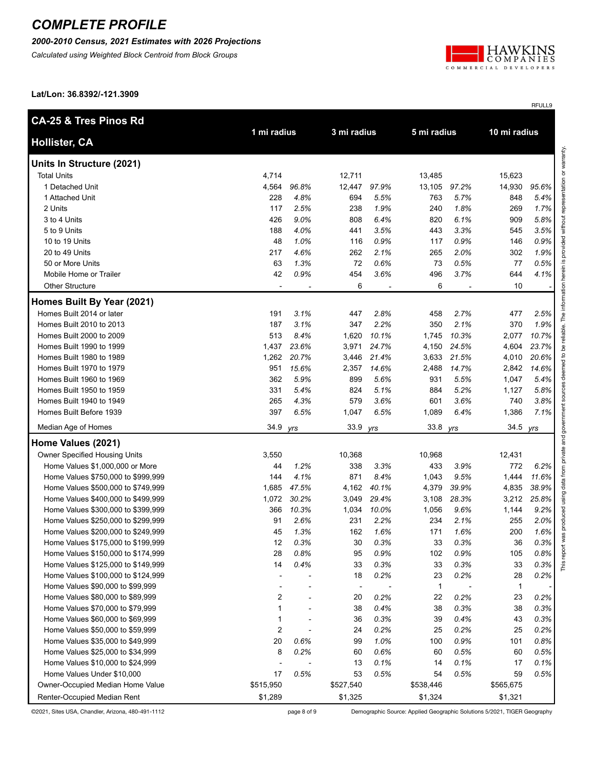*2000-2010 Census, 2021 Estimates with 2026 Projections*

*Calculated using Weighted Block Centroid from Block Groups*



RFULL9

**Lat/Lon: 36.8392/-121.3909**

| <b>CA-25 &amp; Tres Pinos Rd</b>     |                         |       |                          |       |             |       |              |       |
|--------------------------------------|-------------------------|-------|--------------------------|-------|-------------|-------|--------------|-------|
| <b>Hollister, CA</b>                 | 1 mi radius             |       | 3 mi radius              |       | 5 mi radius |       | 10 mi radius |       |
| Units In Structure (2021)            |                         |       |                          |       |             |       |              |       |
| <b>Total Units</b>                   | 4,714                   |       | 12,711                   |       | 13,485      |       | 15,623       |       |
| 1 Detached Unit                      | 4,564                   | 96.8% | 12,447                   | 97.9% | 13,105      | 97.2% | 14,930       | 95.6% |
| 1 Attached Unit                      | 228                     | 4.8%  | 694                      | 5.5%  | 763         | 5.7%  | 848          | 5.4%  |
| 2 Units                              | 117                     | 2.5%  | 238                      | 1.9%  | 240         | 1.8%  | 269          | 1.7%  |
| 3 to 4 Units                         | 426                     | 9.0%  | 808                      | 6.4%  | 820         | 6.1%  | 909          | 5.8%  |
| 5 to 9 Units                         | 188                     | 4.0%  | 441                      | 3.5%  | 443         | 3.3%  | 545          | 3.5%  |
| 10 to 19 Units                       | 48                      | 1.0%  | 116                      | 0.9%  | 117         | 0.9%  | 146          | 0.9%  |
| 20 to 49 Units                       | 217                     | 4.6%  | 262                      | 2.1%  | 265         | 2.0%  | 302          | 1.9%  |
| 50 or More Units                     | 63                      | 1.3%  | 72                       | 0.6%  | 73          | 0.5%  | 77           | 0.5%  |
| Mobile Home or Trailer               | 42                      | 0.9%  | 454                      | 3.6%  | 496         | 3.7%  | 644          | 4.1%  |
| <b>Other Structure</b>               |                         |       | 6                        |       | 6           |       | 10           |       |
| Homes Built By Year (2021)           |                         |       |                          |       |             |       |              |       |
| Homes Built 2014 or later            | 191                     | 3.1%  | 447                      | 2.8%  | 458         | 2.7%  | 477          | 2.5%  |
| Homes Built 2010 to 2013             | 187                     | 3.1%  | 347                      | 2.2%  | 350         | 2.1%  | 370          | 1.9%  |
| Homes Built 2000 to 2009             | 513                     | 8.4%  | 1,620                    | 10.1% | 1,745       | 10.3% | 2,077        | 10.7% |
| Homes Built 1990 to 1999             | 1,437                   | 23.6% | 3,971                    | 24.7% | 4,150       | 24.5% | 4,604        | 23.7% |
| Homes Built 1980 to 1989             | 1,262                   | 20.7% | 3,446                    | 21.4% | 3,633       | 21.5% | 4,010        | 20.6% |
| Homes Built 1970 to 1979             | 951                     | 15.6% | 2,357                    | 14.6% | 2,488       | 14.7% | 2,842        | 14.6% |
| Homes Built 1960 to 1969             | 362                     | 5.9%  | 899                      | 5.6%  | 931         | 5.5%  | 1,047        | 5.4%  |
| Homes Built 1950 to 1959             | 331                     | 5.4%  | 824                      | 5.1%  | 884         | 5.2%  | 1,127        | 5.8%  |
| Homes Built 1940 to 1949             | 265                     | 4.3%  | 579                      | 3.6%  | 601         | 3.6%  | 740          | 3.8%  |
| Homes Built Before 1939              | 397                     | 6.5%  | 1,047                    | 6.5%  | 1,089       | 6.4%  | 1,386        | 7.1%  |
| Median Age of Homes                  | 34.9                    | yrs   | 33.9                     | yrs   | 33.8        | yrs   | 34.5         | yrs   |
| Home Values (2021)                   |                         |       |                          |       |             |       |              |       |
| <b>Owner Specified Housing Units</b> | 3,550                   |       | 10,368                   |       | 10,968      |       | 12,431       |       |
| Home Values \$1,000,000 or More      | 44                      | 1.2%  | 338                      | 3.3%  | 433         | 3.9%  | 772          | 6.2%  |
| Home Values \$750,000 to \$999,999   | 144                     | 4.1%  | 871                      | 8.4%  | 1,043       | 9.5%  | 1,444        | 11.6% |
| Home Values \$500,000 to \$749,999   | 1,685                   | 47.5% | 4,162                    | 40.1% | 4,379       | 39.9% | 4,835        | 38.9% |
| Home Values \$400,000 to \$499,999   | 1,072                   | 30.2% | 3,049                    | 29.4% | 3,108       | 28.3% | 3,212        | 25.8% |
| Home Values \$300,000 to \$399,999   | 366                     | 10.3% | 1,034                    | 10.0% | 1,056       | 9.6%  | 1,144        | 9.2%  |
| Home Values \$250,000 to \$299,999   | 91                      | 2.6%  | 231                      | 2.2%  | 234         | 2.1%  | 255          | 2.0%  |
| Home Values \$200,000 to \$249,999   | 45                      | 1.3%  | 162                      | 1.6%  | 171         | 1.6%  | 200          | 1.6%  |
| Home Values \$175,000 to \$199,999   | 12                      | 0.3%  | 30                       | 0.3%  | 33          | 0.3%  | 36           | 0.3%  |
| Home Values \$150,000 to \$174,999   | 28                      | 0.8%  | 95                       | 0.9%  | 102         | 0.9%  | 105          | 0.8%  |
| Home Values \$125,000 to \$149,999   | 14                      | 0.4%  | 33                       | 0.3%  | 33          | 0.3%  | 33           | 0.3%  |
| Home Values \$100,000 to \$124,999   |                         |       | 18                       | 0.2%  | 23          | 0.2%  | 28           | 0.2%  |
| Home Values \$90,000 to \$99,999     |                         |       | $\overline{\phantom{a}}$ |       | 1           |       | $\mathbf{1}$ |       |
| Home Values \$80,000 to \$89,999     | 2                       |       | 20                       | 0.2%  | 22          | 0.2%  | 23           | 0.2%  |
| Home Values \$70,000 to \$79,999     | 1                       |       | 38                       | 0.4%  | 38          | 0.3%  | 38           | 0.3%  |
| Home Values \$60,000 to \$69,999     | 1                       |       | 36                       | 0.3%  | 39          | 0.4%  | 43           | 0.3%  |
| Home Values \$50,000 to \$59,999     | $\overline{\mathbf{c}}$ |       | 24                       | 0.2%  | 25          | 0.2%  | 25           | 0.2%  |
| Home Values \$35,000 to \$49,999     | 20                      | 0.6%  | 99                       | 1.0%  | 100         | 0.9%  | 101          | 0.8%  |
| Home Values \$25,000 to \$34,999     | 8                       | 0.2%  | 60                       | 0.6%  | 60          | 0.5%  | 60           | 0.5%  |
| Home Values \$10,000 to \$24,999     |                         |       | 13                       | 0.1%  | 14          | 0.1%  | 17           | 0.1%  |
| Home Values Under \$10,000           | 17                      | 0.5%  | 53                       | 0.5%  | 54          | 0.5%  | 59           | 0.5%  |
| Owner-Occupied Median Home Value     | \$515,950               |       | \$527,540                |       | \$538,446   |       | \$565,675    |       |
| Renter-Occupied Median Rent          | \$1,289                 |       | \$1,325                  |       | \$1,324     |       | \$1,321      |       |

©2021, Sites USA, Chandler, Arizona, 480-491-1112 page 8 of 9 Demographic Source: Applied Geographic Solutions 5/2021, TIGER Geography